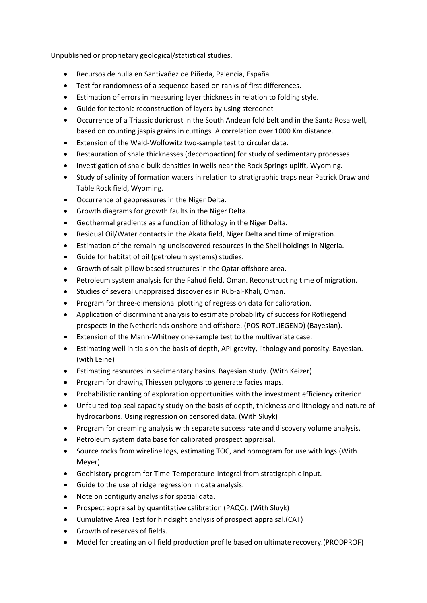Unpublished or proprietary geological/statistical studies.

- Recursos de hulla en Santivañez de Piñeda, Palencia, España.
- Test for randomness of a sequence based on ranks of first differences.
- Estimation of errors in measuring layer thickness in relation to folding style.
- Guide for tectonic reconstruction of layers by using stereonet
- Occurrence of a Triassic duricrust in the South Andean fold belt and in the Santa Rosa well, based on counting jaspis grains in cuttings. A correlation over 1000 Km distance.
- Extension of the Wald-Wolfowitz two-sample test to circular data.
- Restauration of shale thicknesses (decompaction) for study of sedimentary processes
- Investigation of shale bulk densities in wells near the Rock Springs uplift, Wyoming.
- Study of salinity of formation waters in relation to stratigraphic traps near Patrick Draw and Table Rock field, Wyoming.
- Occurrence of geopressures in the Niger Delta.
- Growth diagrams for growth faults in the Niger Delta.
- Geothermal gradients as a function of lithology in the Niger Delta.
- Residual Oil/Water contacts in the Akata field, Niger Delta and time of migration.
- Estimation of the remaining undiscovered resources in the Shell holdings in Nigeria.
- Guide for habitat of oil (petroleum systems) studies.
- Growth of salt-pillow based structures in the Qatar offshore area.
- Petroleum system analysis for the Fahud field, Oman. Reconstructing time of migration.
- Studies of several unappraised discoveries in Rub-al-Khali, Oman.
- Program for three-dimensional plotting of regression data for calibration.
- Application of discriminant analysis to estimate probability of success for Rotliegend prospects in the Netherlands onshore and offshore. (POS-ROTLIEGEND) (Bayesian).
- Extension of the Mann-Whitney one-sample test to the multivariate case.
- Estimating well initials on the basis of depth, API gravity, lithology and porosity. Bayesian. (with Leine)
- Estimating resources in sedimentary basins. Bayesian study. (With Keizer)
- Program for drawing Thiessen polygons to generate facies maps.
- Probabilistic ranking of exploration opportunities with the investment efficiency criterion.
- Unfaulted top seal capacity study on the basis of depth, thickness and lithology and nature of hydrocarbons. Using regression on censored data. (With Sluyk)
- Program for creaming analysis with separate success rate and discovery volume analysis.
- Petroleum system data base for calibrated prospect appraisal.
- Source rocks from wireline logs, estimating TOC, and nomogram for use with logs.(With Meyer)
- Geohistory program for Time-Temperature-Integral from stratigraphic input.
- Guide to the use of ridge regression in data analysis.
- Note on contiguity analysis for spatial data.
- Prospect appraisal by quantitative calibration (PAQC). (With Sluyk)
- Cumulative Area Test for hindsight analysis of prospect appraisal.(CAT)
- Growth of reserves of fields.
- Model for creating an oil field production profile based on ultimate recovery.(PRODPROF)